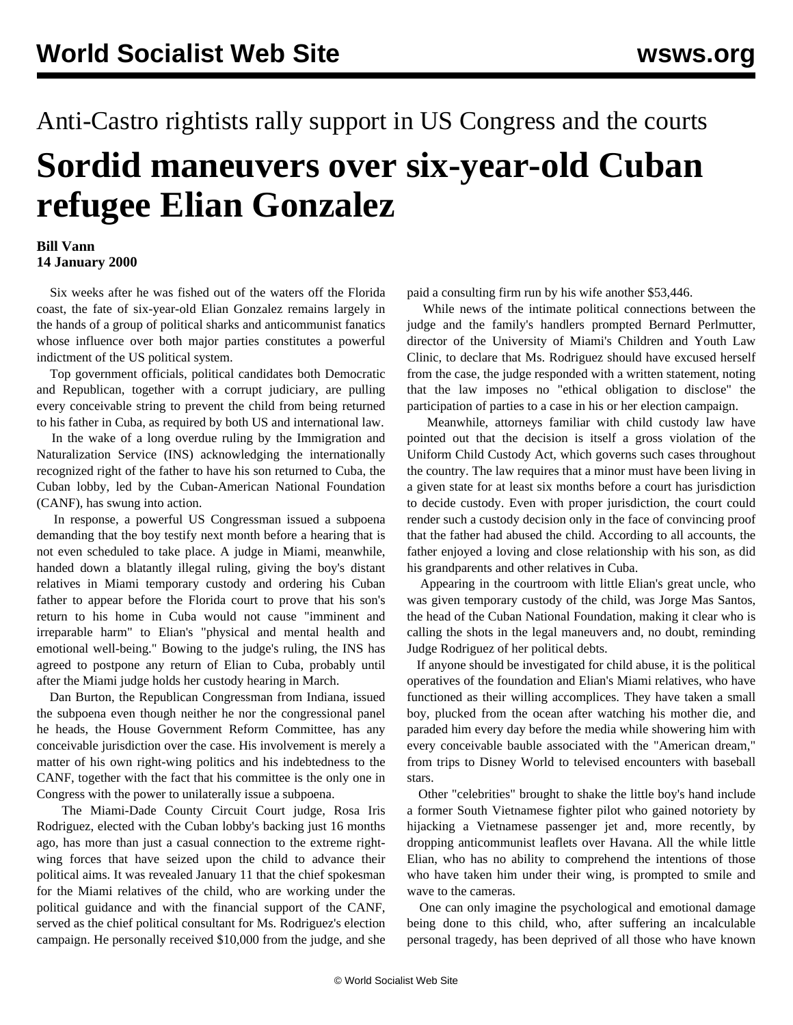## Anti-Castro rightists rally support in US Congress and the courts **Sordid maneuvers over six-year-old Cuban refugee Elian Gonzalez**

## **Bill Vann 14 January 2000**

 Six weeks after he was fished out of the waters off the Florida coast, the fate of six-year-old Elian Gonzalez remains largely in the hands of a group of political sharks and anticommunist fanatics whose influence over both major parties constitutes a powerful indictment of the US political system.

 Top government officials, political candidates both Democratic and Republican, together with a corrupt judiciary, are pulling every conceivable string to prevent the child from being returned to his father in Cuba, as required by both US and international law.

 In the wake of a long overdue ruling by the Immigration and Naturalization Service (INS) acknowledging the internationally recognized right of the father to have his son returned to Cuba, the Cuban lobby, led by the Cuban-American National Foundation (CANF), has swung into action.

 In response, a powerful US Congressman issued a subpoena demanding that the boy testify next month before a hearing that is not even scheduled to take place. A judge in Miami, meanwhile, handed down a blatantly illegal ruling, giving the boy's distant relatives in Miami temporary custody and ordering his Cuban father to appear before the Florida court to prove that his son's return to his home in Cuba would not cause "imminent and irreparable harm" to Elian's "physical and mental health and emotional well-being." Bowing to the judge's ruling, the INS has agreed to postpone any return of Elian to Cuba, probably until after the Miami judge holds her custody hearing in March.

 Dan Burton, the Republican Congressman from Indiana, issued the subpoena even though neither he nor the congressional panel he heads, the House Government Reform Committee, has any conceivable jurisdiction over the case. His involvement is merely a matter of his own right-wing politics and his indebtedness to the CANF, together with the fact that his committee is the only one in Congress with the power to unilaterally issue a subpoena.

 The Miami-Dade County Circuit Court judge, Rosa Iris Rodriguez, elected with the Cuban lobby's backing just 16 months ago, has more than just a casual connection to the extreme rightwing forces that have seized upon the child to advance their political aims. It was revealed January 11 that the chief spokesman for the Miami relatives of the child, who are working under the political guidance and with the financial support of the CANF, served as the chief political consultant for Ms. Rodriguez's election campaign. He personally received \$10,000 from the judge, and she

paid a consulting firm run by his wife another \$53,446.

 While news of the intimate political connections between the judge and the family's handlers prompted Bernard Perlmutter, director of the University of Miami's Children and Youth Law Clinic, to declare that Ms. Rodriguez should have excused herself from the case, the judge responded with a written statement, noting that the law imposes no "ethical obligation to disclose" the participation of parties to a case in his or her election campaign.

 Meanwhile, attorneys familiar with child custody law have pointed out that the decision is itself a gross violation of the Uniform Child Custody Act, which governs such cases throughout the country. The law requires that a minor must have been living in a given state for at least six months before a court has jurisdiction to decide custody. Even with proper jurisdiction, the court could render such a custody decision only in the face of convincing proof that the father had abused the child. According to all accounts, the father enjoyed a loving and close relationship with his son, as did his grandparents and other relatives in Cuba.

 Appearing in the courtroom with little Elian's great uncle, who was given temporary custody of the child, was Jorge Mas Santos, the head of the Cuban National Foundation, making it clear who is calling the shots in the legal maneuvers and, no doubt, reminding Judge Rodriguez of her political debts.

 If anyone should be investigated for child abuse, it is the political operatives of the foundation and Elian's Miami relatives, who have functioned as their willing accomplices. They have taken a small boy, plucked from the ocean after watching his mother die, and paraded him every day before the media while showering him with every conceivable bauble associated with the "American dream," from trips to Disney World to televised encounters with baseball stars.

 Other "celebrities" brought to shake the little boy's hand include a former South Vietnamese fighter pilot who gained notoriety by hijacking a Vietnamese passenger jet and, more recently, by dropping anticommunist leaflets over Havana. All the while little Elian, who has no ability to comprehend the intentions of those who have taken him under their wing, is prompted to smile and wave to the cameras.

 One can only imagine the psychological and emotional damage being done to this child, who, after suffering an incalculable personal tragedy, has been deprived of all those who have known